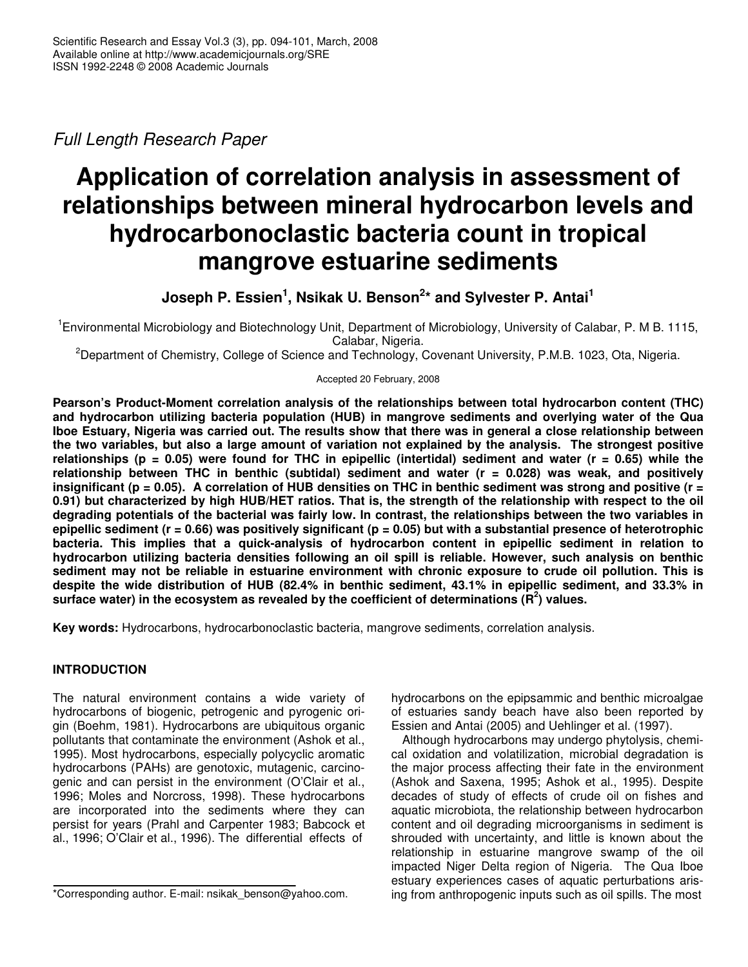*Full Length Research Paper*

# **Application of correlation analysis in assessment of relationships between mineral hydrocarbon levels and hydrocarbonoclastic bacteria count in tropical mangrove estuarine sediments**

**Joseph P. Essien 1 , Nsikak U. Benson 2 \* and Sylvester P. Antai 1**

<sup>1</sup> Environmental Microbiology and Biotechnology Unit, Department of Microbiology, University of Calabar, P. M B. 1115, Calabar, Nigeria.

<sup>2</sup>Department of Chemistry, College of Science and Technology, Covenant University, P.M.B. 1023, Ota, Nigeria.

Accepted 20 February, 2008

**Pearson's Product-Moment correlation analysis of the relationships between total hydrocarbon content (THC) and hydrocarbon utilizing bacteria population (HUB) in mangrove sediments and overlying water of the Qua** Iboe Estuary, Nigeria was carried out. The results show that there was in general a close relationship between the two variables, but also a large amount of variation not explained by the analysis. The strongest positive relationships ( $p = 0.05$ ) were found for THC in epipellic (intertidal) sediment and water ( $r = 0.65$ ) while the **relationship between THC in benthic (subtidal) sediment and water (r = 0.028) was weak, and positively** insignificant ( $p = 0.05$ ). A correlation of HUB densities on THC in benthic sediment was strong and positive ( $r =$ 0.91) but characterized by high HUB/HET ratios. That is, the strength of the relationship with respect to the oil degrading potentials of the bacterial was fairly low. In contrast, the relationships between the two variables in epipellic sediment ( $r = 0.66$ ) was positively significant ( $p = 0.05$ ) but with a substantial presence of heterotrophic **bacteria. This implies that a quick-analysis of hydrocarbon content in epipellic sediment in relation to hydrocarbon utilizing bacteria densities following an oil spill is reliable. However, such analysis on benthic** sediment may not be reliable in estuarine environment with chronic exposure to crude oil pollution. This is despite the wide distribution of HUB (82.4% in benthic sediment, 43.1% in epipellic sediment, and 33.3% in **surface water) in the ecosystem as revealed by the coefficient of determinations (R 2 ) values.**

**Key words:** Hydrocarbons, hydrocarbonoclastic bacteria, mangrove sediments, correlation analysis.

# **INTRODUCTION**

The natural environment contains a wide variety of hydrocarbons of biogenic, petrogenic and pyrogenic origin (Boehm, 1981). Hydrocarbons are ubiquitous organic pollutants that contaminate the environment (Ashok et al., 1995). Most hydrocarbons, especially polycyclic aromatic hydrocarbons (PAHs) are genotoxic, mutagenic, carcinogenic and can persist in the environment (O'Clair et al., 1996; Moles and Norcross, 1998). These hydrocarbons are incorporated into the sediments where they can persist for years (Prahl and Carpenter 1983; Babcock et al., 1996; O'Clair et al., 1996). The differential effects of

hydrocarbons on the epipsammic and benthic microalgae of estuaries sandy beach have also been reported by Essien and Antai (2005) and Uehlinger et al. (1997).

Although hydrocarbons may undergo phytolysis, chemical oxidation and volatilization, microbial degradation is the major process affecting their fate in the environment (Ashok and Saxena, 1995; Ashok et al., 1995). Despite decades of study of effects of crude oil on fishes and aquatic microbiota, the relationship between hydrocarbon content and oil degrading microorganisms in sediment is shrouded with uncertainty, and little is known about the relationship in estuarine mangrove swamp of the oil impacted Niger Delta region of Nigeria. The Qua Iboe estuary experiences cases of aquatic perturbations arising from anthropogenic inputs such as oil spills. The most

<sup>\*</sup>Corresponding author. E-mail: nsikak\_benson@yahoo.com.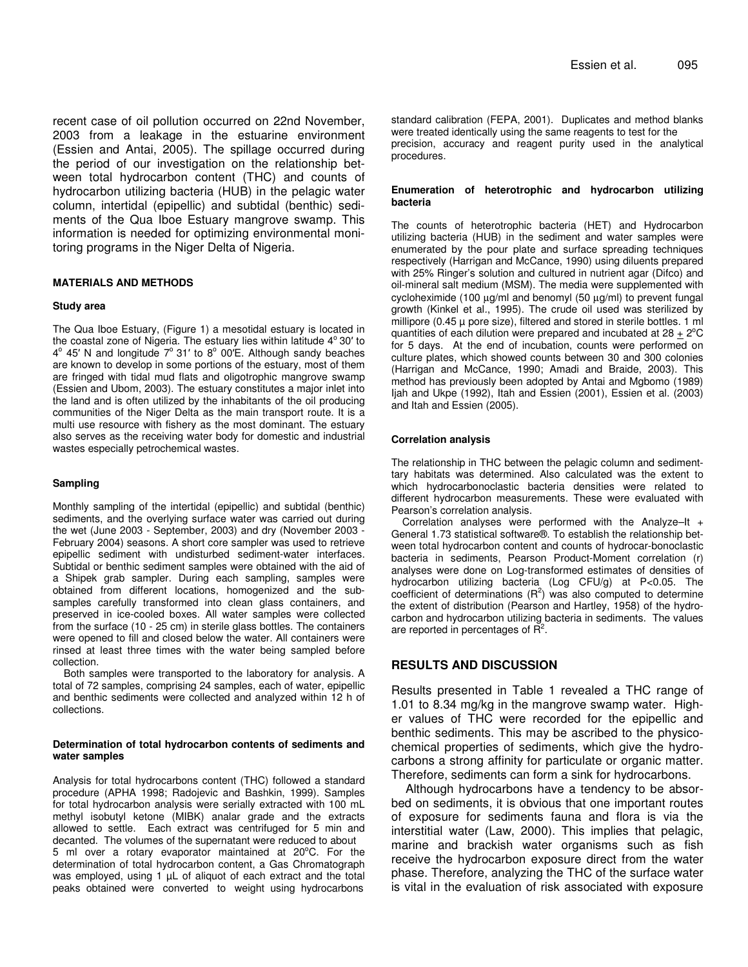recent case of oil pollution occurred on 22nd November, 2003 from a leakage in the estuarine environment (Essien and Antai, 2005). The spillage occurred during the period of our investigation on the relationship between total hydrocarbon content (THC) and counts of hydrocarbon utilizing bacteria (HUB) in the pelagic water column, intertidal (epipellic) and subtidal (benthic) sediments of the Qua Iboe Estuary mangrove swamp. This information is needed for optimizing environmental monitoring programs in the Niger Delta of Nigeria.

#### **MATERIALS AND METHODS**

#### **Study area**

The Qua Iboe Estuary, (Figure 1) a mesotidal estuary is located in the coastal zone of Nigeria. The estuary lies within latitude 4° 30' to 4° 45' N and longitude 7° 31' to 8° 00'E. Although sandy beaches are known to develop in some portions of the estuary, most of them are fringed with tidal mud flats and oligotrophic mangrove swamp (Essien and Ubom, 2003). The estuary constitutes a major inlet into the land and is often utilized by the inhabitants of the oil producing communities of the Niger Delta as the main transport route. It is a multi use resource with fishery as the most dominant. The estuary also serves as the receiving water body for domestic and industrial wastes especially petrochemical wastes.

### **Sampling**

Monthly sampling of the intertidal (epipellic) and subtidal (benthic) sediments, and the overlying surface water was carried out during the wet (June 2003 - September, 2003) and dry (November 2003 - February 2004) seasons. A short core sampler was used to retrieve epipellic sediment with undisturbed sediment-water interfaces. Subtidal or benthic sediment samples were obtained with the aid of a Shipek grab sampler. During each sampling, samples were obtained from different locations, homogenized and the subsamples carefully transformed into clean glass containers, and preserved in ice-cooled boxes. All water samples were collected from the surface (10 - 25 cm) in sterile glass bottles. The containers were opened to fill and closed below the water. All containers were rinsed at least three times with the water being sampled before collection.

Both samples were transported to the laboratory for analysis. A total of 72 samples, comprising 24 samples, each of water, epipellic and benthic sediments were collected and analyzed within 12 h of collections.

#### **Determination of total hydrocarbon contents of sediments and water samples**

Analysis for total hydrocarbons content (THC) followed a standard procedure (APHA 1998; Radojevic and Bashkin, 1999). Samples for total hydrocarbon analysis were serially extracted with 100 mL methyl isobutyl ketone (MIBK) analar grade and the extracts allowed to settle. Each extract was centrifuged for 5 min and decanted. The volumes of the supernatant were reduced to about 5 ml over a rotary evaporator maintained at 20°C. For the determination of total hydrocarbon content, a Gas Chromatograph was employed, using 1  $\mu$ L of aliquot of each extract and the total peaks obtained were converted to weight using hydrocarbons

standard calibration (FEPA, 2001). Duplicates and method blanks were treated identically using the same reagents to test for the precision, accuracy and reagent purity used in the analytical procedures.

#### **Enumeration of heterotrophic and hydrocarbon utilizing bacteria**

The counts of heterotrophic bacteria (HET) and Hydrocarbon utilizing bacteria (HUB) in the sediment and water samples were enumerated by the pour plate and surface spreading techniques respectively (Harrigan and McCance, 1990) using diluents prepared with 25% Ringer's solution and cultured in nutrient agar (Difco) and oil-mineral salt medium (MSM). The media were supplemented with cycloheximide (100 µg/ml and benomyl (50 µg/ml) to prevent fungal growth (Kinkel et al*.*, 1995). The crude oil used was sterilized by millipore (0.45  $\mu$  pore size), filtered and stored in sterile bottles. 1 ml quantities of each dilution were prepared and incubated at  $28 + 2^{\circ}C$ for 5 days. At the end of incubation, counts were performed on culture plates, which showed counts between 30 and 300 colonies (Harrigan and McCance, 1990; Amadi and Braide, 2003). This method has previously been adopted by Antai and Mgbomo (1989) Ijah and Ukpe (1992), Itah and Essien (2001), Essien et al. (2003) and Itah and Essien (2005).

#### **Correlation analysis**

The relationship in THC between the pelagic column and sedimenttary habitats was determined. Also calculated was the extent to which hydrocarbonoclastic bacteria densities were related to different hydrocarbon measurements. These were evaluated with Pearson's correlation analysis.

Correlation analyses were performed with the Analyze–It + General 1.73 statistical software®. To establish the relationship between total hydrocarbon content and counts of hydrocar-bonoclastic bacteria in sediments, Pearson Product-Moment correlation (r) analyses were done on Log-transformed estimates of densities of hydrocarbon utilizing bacteria (Log CFU/g) at P<0.05. The coefficient of determinations  $(R^2)$  was also computed to determine the extent of distribution (Pearson and Hartley, 1958) of the hydrocarbon and hydrocarbon utilizing bacteria in sediments. The values are reported in percentages of  $\overline{\mathsf{R}}^2$ .

# **RESULTS AND DISCUSSION**

Results presented in Table 1 revealed a THC range of 1.01 to 8.34 mg/kg in the mangrove swamp water. Higher values of THC were recorded for the epipellic and benthic sediments. This may be ascribed to the physicochemical properties of sediments, which give the hydrocarbons a strong affinity for particulate or organic matter. Therefore, sediments can form a sink for hydrocarbons.

Although hydrocarbons have a tendency to be absorbed on sediments, it is obvious that one important routes of exposure for sediments fauna and flora is via the interstitial water (Law, 2000). This implies that pelagic, marine and brackish water organisms such as fish receive the hydrocarbon exposure direct from the water phase. Therefore, analyzing the THC of the surface water is vital in the evaluation of risk associated with exposure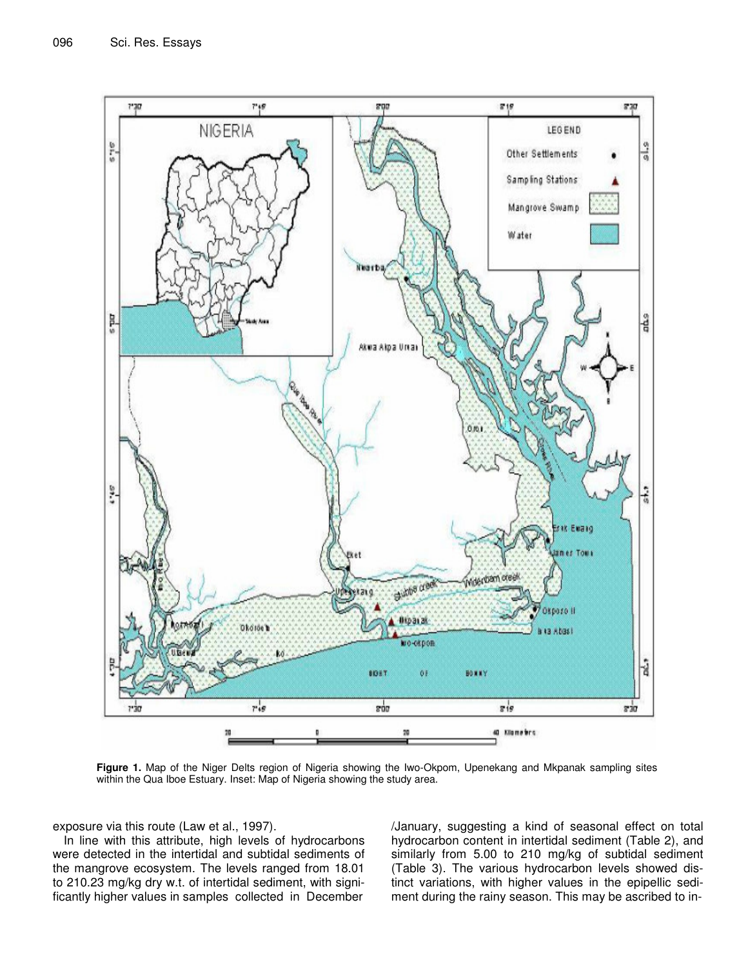

**Figure 1.** Map of the Niger Delts region of Nigeria showing the Iwo-Okpom, Upenekang and Mkpanak sampling sites within the Qua Iboe Estuary. Inset: Map of Nigeria showing the study area.

exposure via this route (Law et al., 1997).

In line with this attribute, high levels of hydrocarbons were detected in the intertidal and subtidal sediments of the mangrove ecosystem. The levels ranged from 18.01 to 210.23 mg/kg dry w.t. of intertidal sediment, with significantly higher values in samples collected in December

/January, suggesting a kind of seasonal effect on total hydrocarbon content in intertidal sediment (Table 2), and similarly from 5.00 to 210 mg/kg of subtidal sediment (Table 3). The various hydrocarbon levels showed distinct variations, with higher values in the epipellic sediment during the rainy season. This may be ascribed to in-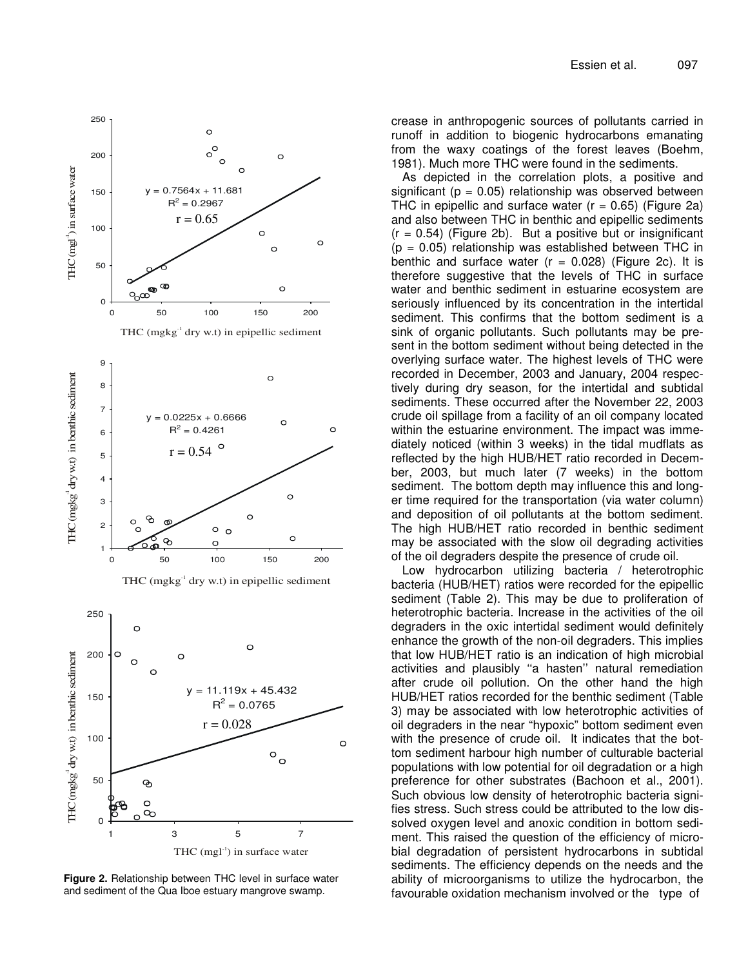

**Figure 2.** Relationship between THC level in surface water and sediment of the Qua Iboe estuary mangrove swamp.

crease in anthropogenic sources of pollutants carried in runoff in addition to biogenic hydrocarbons emanating from the waxy coatings of the forest leaves (Boehm, 1981). Much more THC were found in the sediments.

As depicted in the correlation plots, a positive and significant ( $p = 0.05$ ) relationship was observed between THC in epipellic and surface water  $(r = 0.65)$  (Figure 2a) and also between THC in benthic and epipellic sediments  $(r = 0.54)$  (Figure 2b). But a positive but or insignificant  $(p = 0.05)$  relationship was established between THC in benthic and surface water  $(r = 0.028)$  (Figure 2c). It is therefore suggestive that the levels of THC in surface water and benthic sediment in estuarine ecosystem are seriously influenced by its concentration in the intertidal sediment. This confirms that the bottom sediment is a sink of organic pollutants. Such pollutants may be present in the bottom sediment without being detected in the overlying surface water. The highest levels of THC were recorded in December, 2003 and January, 2004 respectively during dry season, for the intertidal and subtidal sediments. These occurred after the November 22, 2003 crude oil spillage from a facility of an oil company located within the estuarine environment. The impact was immediately noticed (within 3 weeks) in the tidal mudflats as reflected by the high HUB/HET ratio recorded in December, 2003, but much later (7 weeks) in the bottom sediment. The bottom depth may influence this and longer time required for the transportation (via water column) and deposition of oil pollutants at the bottom sediment. The high HUB/HET ratio recorded in benthic sediment may be associated with the slow oil degrading activities of the oil degraders despite the presence of crude oil.

Low hydrocarbon utilizing bacteria / heterotrophic bacteria (HUB/HET) ratios were recorded for the epipellic sediment (Table 2). This may be due to proliferation of heterotrophic bacteria. Increase in the activities of the oil degraders in the oxic intertidal sediment would definitely enhance the growth of the non-oil degraders. This implies that low HUB/HET ratio is an indication of high microbial activities and plausibly ''a hasten'' natural remediation after crude oil pollution. On the other hand the high HUB/HET ratios recorded for the benthic sediment (Table 3) may be associated with low heterotrophic activities of oil degraders in the near "hypoxic" bottom sediment even with the presence of crude oil. It indicates that the bottom sediment harbour high number of culturable bacterial populations with low potential for oil degradation or a high preference for other substrates (Bachoon et al*.*, 2001). Such obvious low density of heterotrophic bacteria signifies stress. Such stress could be attributed to the low dissolved oxygen level and anoxic condition in bottom sediment. This raised the question of the efficiency of microbial degradation of persistent hydrocarbons in subtidal sediments. The efficiency depends on the needs and the ability of microorganisms to utilize the hydrocarbon, the favourable oxidation mechanism involved or the type of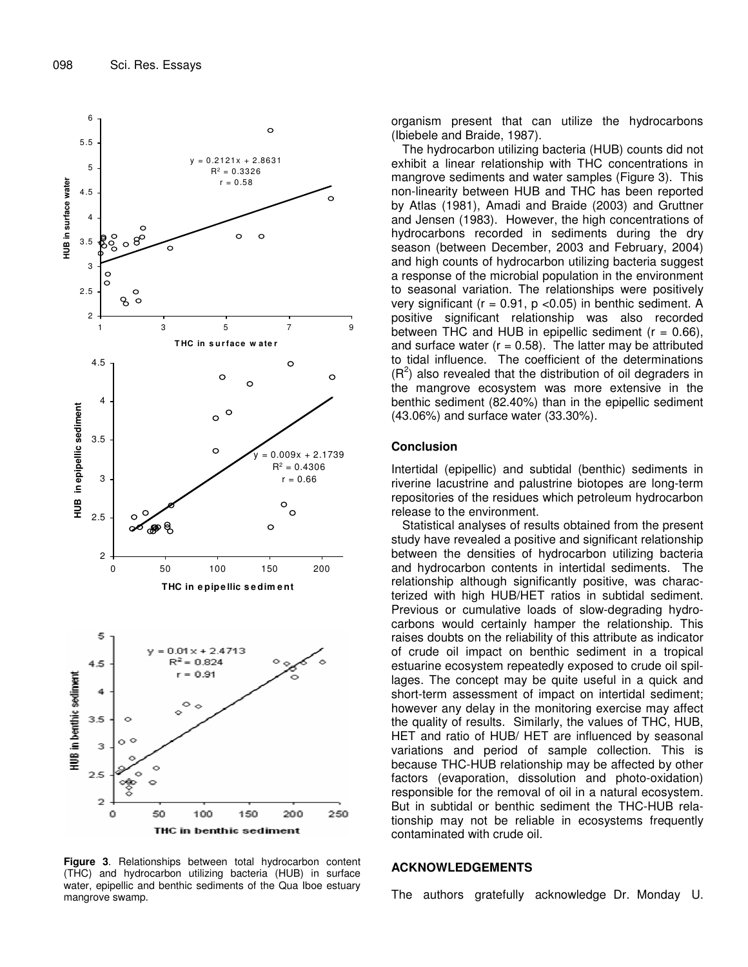

**Figure 3**. Relationships between total hydrocarbon content (THC) and hydrocarbon utilizing bacteria (HUB) in surface water, epipellic and benthic sediments of the Qua Iboe estuary mangrove swamp.

organism present that can utilize the hydrocarbons (Ibiebele and Braide, 1987).

The hydrocarbon utilizing bacteria (HUB) counts did not exhibit a linear relationship with THC concentrations in mangrove sediments and water samples (Figure 3). This non-linearity between HUB and THC has been reported by Atlas (1981), Amadi and Braide (2003) and Gruttner and Jensen (1983). However, the high concentrations of hydrocarbons recorded in sediments during the dry season (between December, 2003 and February, 2004) and high counts of hydrocarbon utilizing bacteria suggest a response of the microbial population in the environment to seasonal variation. The relationships were positively very significant ( $r = 0.91$ ,  $p < 0.05$ ) in benthic sediment. A positive significant relationship was also recorded between THC and HUB in epipellic sediment  $(r = 0.66)$ , and surface water ( $r = 0.58$ ). The latter may be attributed to tidal influence. The coefficient of the determinations  $(R<sup>2</sup>)$  also revealed that the distribution of oil degraders in the mangrove ecosystem was more extensive in the benthic sediment (82.40%) than in the epipellic sediment (43.06%) and surface water (33.30%).

# **Conclusion**

Intertidal (epipellic) and subtidal (benthic) sediments in riverine lacustrine and palustrine biotopes are long-term repositories of the residues which petroleum hydrocarbon release to the environment.

Statistical analyses of results obtained from the present study have revealed a positive and significant relationship between the densities of hydrocarbon utilizing bacteria and hydrocarbon contents in intertidal sediments. The relationship although significantly positive, was characterized with high HUB/HET ratios in subtidal sediment. Previous or cumulative loads of slow-degrading hydrocarbons would certainly hamper the relationship. This raises doubts on the reliability of this attribute as indicator of crude oil impact on benthic sediment in a tropical estuarine ecosystem repeatedly exposed to crude oil spillages. The concept may be quite useful in a quick and short-term assessment of impact on intertidal sediment; however any delay in the monitoring exercise may affect the quality of results. Similarly, the values of THC, HUB, HET and ratio of HUB/ HET are influenced by seasonal variations and period of sample collection. This is because THC-HUB relationship may be affected by other factors (evaporation, dissolution and photo-oxidation) responsible for the removal of oil in a natural ecosystem. But in subtidal or benthic sediment the THC-HUB relationship may not be reliable in ecosystems frequently contaminated with crude oil.

## **ACKNOWLEDGEMENTS**

The authors gratefully acknowledge Dr. Monday U.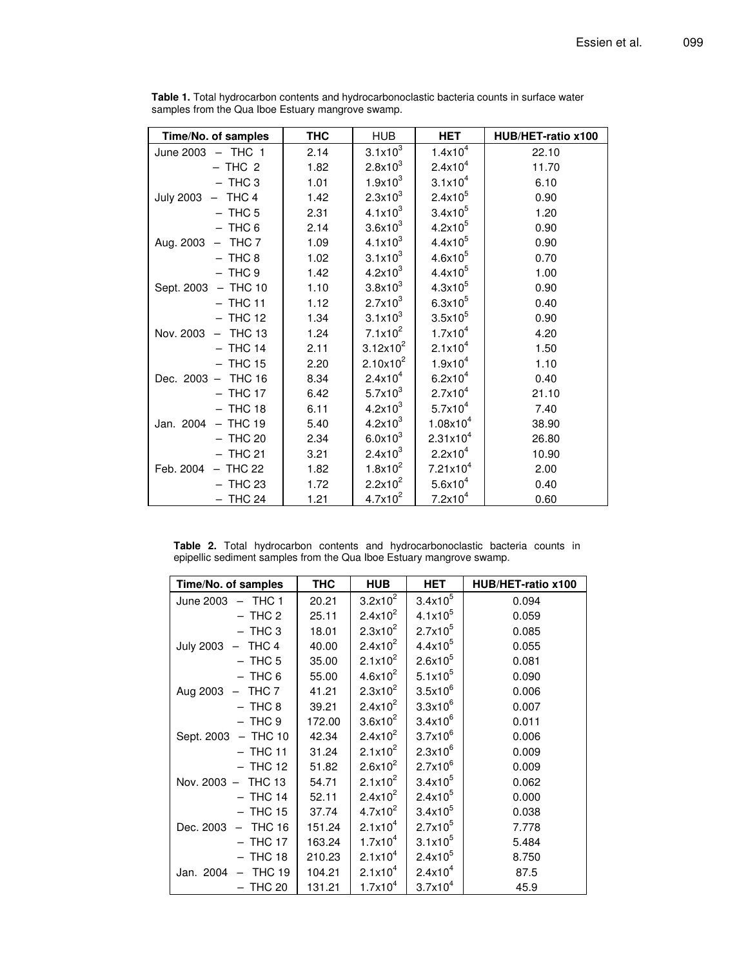| Time/No. of samples     | <b>THC</b> | <b>HUB</b>          | <b>HET</b>           | HUB/HET-ratio x100 |
|-------------------------|------------|---------------------|----------------------|--------------------|
| June 2003 - THC 1       | 2.14       | $3.1x10^{3}$        | 1.4x10 <sup>4</sup>  | 22.10              |
| $-$ THC 2               | 1.82       | $2.8x10^3$          | 2.4x10 <sup>4</sup>  | 11.70              |
| $-$ THC 3               | 1.01       | $1.9x10^3$          | $3.1x10^{4}$         | 6.10               |
| July 2003 - THC 4       | 1.42       | $2.3x10^3$          | $2.4x10^5$           | 0.90               |
| $-$ THC 5               | 2.31       | $4.1x10^{3}$        | $3.4x10^{5}$         | 1.20               |
| $-$ THC 6               | 2.14       | 3.6x10 <sup>3</sup> | $4.2x10^5$           | 0.90               |
| Aug. 2003 - THC 7       | 1.09       | $4.1x10^{3}$        | $4.4x10^{5}$         | 0.90               |
| $-$ THC 8               | 1.02       | $3.1x10^{3}$        | $4.6x10^{5}$         | 0.70               |
| $-$ THC 9               | 1.42       | $4.2x10^3$          | $4.4x10^{5}$         | 1.00               |
| Sept. 2003 - THC 10     | 1.10       | $3.8\times10^3$     | $4.3x10^{5}$         | 0.90               |
| $-$ THC 11              | 1.12       | $2.7x10^3$          | $6.3x10^{5}$         | 0.40               |
| $-$ THC 12              | 1.34       | $3.1x10^{3}$        | $3.5x10^5$           | 0.90               |
| $-$ THC 13<br>Nov. 2003 | 1.24       | $7.1x10^2$          | 1.7x10 <sup>4</sup>  | 4.20               |
| $-$ THC 14              | 2.11       | $3.12x10^2$         | 2.1x10 <sup>4</sup>  | 1.50               |
| $-$ THC 15              | 2.20       | $2.10x10^{2}$       | $1.9x10^4$           | 1.10               |
| Dec. 2003 - THC 16      | 8.34       | $2.4x10^4$          | $6.2x10^{4}$         | 0.40               |
| $-$ THC 17              | 6.42       | $5.7x10^{3}$        | 2.7x10 <sup>4</sup>  | 21.10              |
| $-$ THC 18              | 6.11       | $4.2x10^3$          | 5.7x10 <sup>4</sup>  | 7.40               |
| Jan. 2004 - THC 19      | 5.40       | $4.2x10^{3}$        | $1.08x10^{4}$        | 38.90              |
| $-$ THC 20              | 2.34       | $6.0x10^{3}$        | $2.31x10^{4}$        | 26.80              |
| $-$ THC 21              | 3.21       | $2.4x10^{3}$        | 2.2x10 <sup>4</sup>  | 10.90              |
| $-$ THC 22<br>Feb. 2004 | 1.82       | $1.8x10^2$          | $7.21 \times 10^{4}$ | 2.00               |
| $-$ THC 23              | 1.72       | $2.2x10^2$          | $5.6x10^{4}$         | 0.40               |
| $-$ THC 24              | 1.21       | $4.7x10^2$          | 7.2x10 <sup>4</sup>  | 0.60               |

**Table 1.** Total hydrocarbon contents and hydrocarbonoclastic bacteria counts in surface water samples from the Qua Iboe Estuary mangrove swamp.

**Table 2.** Total hydrocarbon contents and hydrocarbonoclastic bacteria counts in epipellic sediment samples from the Qua Iboe Estuary mangrove swamp.

| Time/No. of samples           | <b>THC</b> | <b>HUB</b>   | <b>HET</b>   | HUB/HET-ratio x100 |
|-------------------------------|------------|--------------|--------------|--------------------|
| June 2003 - THC 1             | 20.21      | $3.2x10^2$   | $3.4x10^5$   | 0.094              |
| $-$ THC 2                     | 25.11      | $2.4x10^2$   | $4.1x10^{5}$ | 0.059              |
| $-$ THC 3                     | 18.01      | $2.3x10^2$   | $2.7x10^{5}$ | 0.085              |
| $-$ THC 4<br><b>July 2003</b> | 40.00      | $2.4x10^2$   | $4.4x10^{5}$ | 0.055              |
| $-$ THC 5                     | 35.00      | $2.1x10^2$   | $2.6x10^{5}$ | 0.081              |
| $-$ THC 6                     | 55.00      | $4.6x10^{2}$ | $5.1x10^{5}$ | 0.090              |
| THC 7<br>Aug 2003             | 41.21      | $2.3x10^2$   | $3.5x10^6$   | 0.006              |
| $-$ THC 8                     | 39.21      | $2.4x10^2$   | $3.3x10^6$   | 0.007              |
| $-$ THC 9                     | 172.00     | $3.6x10^2$   | $3.4x10^6$   | 0.011              |
| $-$ THC 10<br>Sept. 2003      | 42.34      | $2.4x10^2$   | $3.7x10^6$   | 0.006              |
| $-$ THC 11                    | 31.24      | $2.1x10^2$   | $2.3x10^{6}$ | 0.009              |
| - THC 12                      | 51.82      | $2.6x10^{2}$ | $2.7x10^{6}$ | 0.009              |
| Nov. 2003 - THC 13            | 54.71      | $2.1x10^2$   | $3.4x10^{5}$ | 0.062              |
| $-$ THC 14                    | 52.11      | $2.4x10^2$   | $2.4x10^{5}$ | 0.000              |
| - THC 15                      | 37.74      | $4.7x10^2$   | $3.4x10^{5}$ | 0.038              |
| <b>THC 16</b><br>Dec. 2003    | 151.24     | $2.1x10^{4}$ | $2.7x10^{5}$ | 7.778              |
| - THC 17                      | 163.24     | $1.7x10^4$   | $3.1x10^{5}$ | 5.484              |
| $-$ THC 18                    | 210.23     | $2.1x10^{4}$ | $2.4x10^{5}$ | 8.750              |
| $-$ THC 19<br>Jan. 2004       | 104.21     | $2.1x10^{4}$ | $2.4x10^4$   | 87.5               |
| $-$ THC 20                    | 131.21     | $1.7x10^4$   | $3.7x10^{4}$ | 45.9               |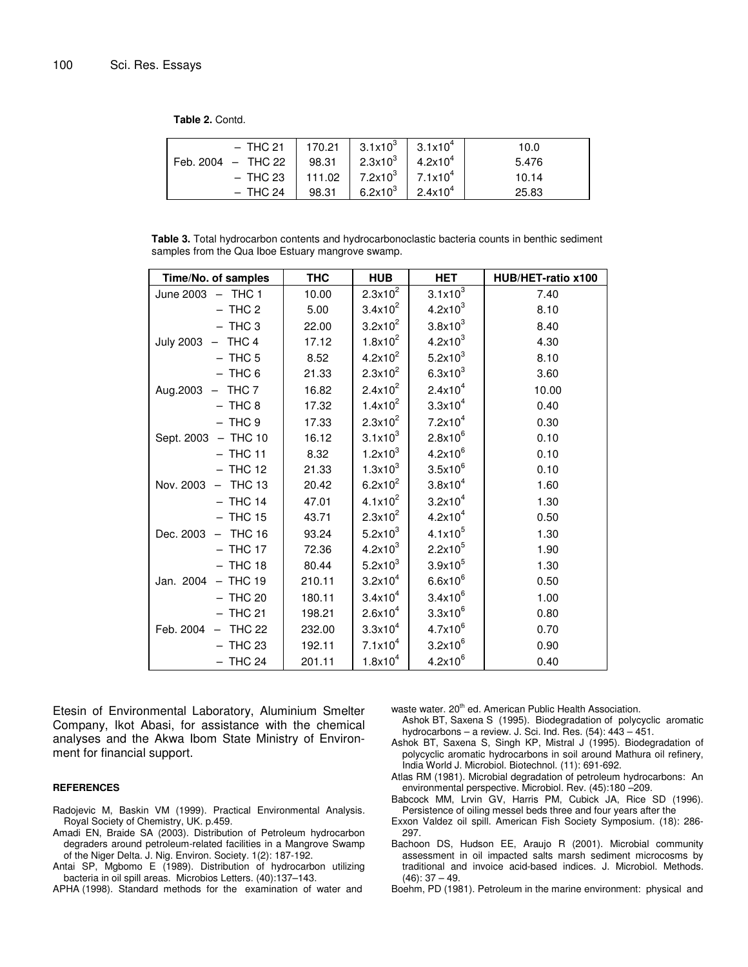**Table 2.** Contd.

| - THC 21   170.21   $3.1 \times 10^3$   $3.1 \times 10^4$ |       |                                                    |                     | 10.0  |
|-----------------------------------------------------------|-------|----------------------------------------------------|---------------------|-------|
| Feb. 2004 $-$ THC 22                                      | 98.31 | $2.3x10^{3}$ 4.2x10 <sup>4</sup>                   |                     | 5.476 |
| – THC 23                                                  |       | 111.02   7.2x10 <sup>3</sup>   7.1x10 <sup>4</sup> |                     | 10.14 |
| $-$ THC 24                                                | 98.31 | 6.2 $\times$ 10 $^3$                               | $2.4 \times 10^{4}$ | 25.83 |

**Table 3.** Total hydrocarbon contents and hydrocarbonoclastic bacteria counts in benthic sediment samples from the Qua Iboe Estuary mangrove swamp.

| Time/No. of samples | <b>THC</b> | <b>HUB</b>          | <b>HET</b>          | HUB/HET-ratio x100 |
|---------------------|------------|---------------------|---------------------|--------------------|
| June 2003 - THC 1   | 10.00      | $2.3x10^2$          | $3.1x10^{3}$        | 7.40               |
| $-$ THC 2           | 5.00       | $3.4x10^2$          | $4.2x10^3$          | 8.10               |
| $-$ THC 3           | 22.00      | $3.2x10^2$          | $3.8\times10^3$     | 8.40               |
| July 2003 - THC 4   | 17.12      | $1.8x10^2$          | $4.2x10^{3}$        | 4.30               |
| $-$ THC 5           | 8.52       | $4.2x10^2$          | 5.2x10 <sup>3</sup> | 8.10               |
| $-$ THC 6           | 21.33      | $2.3x10^2$          | 6.3x10 <sup>3</sup> | 3.60               |
| Aug.2003 - THC 7    | 16.82      | $2.4x10^2$          | 2.4x10 <sup>4</sup> | 10.00              |
| $-$ THC 8           | 17.32      | $1.4x10^2$          | $3.3x10^{4}$        | 0.40               |
| $-$ THC $9$         | 17.33      | $2.3x10^2$          | 7.2x10 <sup>4</sup> | 0.30               |
| Sept. 2003 - THC 10 | 16.12      | $3.1x10^3$          | $2.8x10^{6}$        | 0.10               |
| $-$ THC 11          | 8.32       | 1.2x10 <sup>3</sup> | $4.2x10^{6}$        | 0.10               |
| $-$ THC 12          | 21.33      | $1.3x10^{3}$        | $3.5x10^6$          | 0.10               |
| Nov. 2003 - THC 13  | 20.42      | $6.2x10^2$          | $3.8x10^{4}$        | 1.60               |
| $-$ THC 14          | 47.01      | $4.1x10^2$          | 3.2x10 <sup>4</sup> | 1.30               |
| $-$ THC 15          | 43.71      | $2.3x10^2$          | 4.2x10 <sup>4</sup> | 0.50               |
| Dec. 2003 - THC 16  | 93.24      | 5.2x10 <sup>3</sup> | $4.1x10^{5}$        | 1.30               |
| $-$ THC 17          | 72.36      | 4.2x10 <sup>3</sup> | $2.2x10^5$          | 1.90               |
| $-$ THC 18          | 80.44      | 5.2x10 <sup>3</sup> | $3.9x10^{5}$        | 1.30               |
| Jan. 2004 - THC 19  | 210.11     | $3.2x10^4$          | $6.6x10^{6}$        | 0.50               |
| $-$ THC 20          | 180.11     | $3.4x10^4$          | $3.4x10^{6}$        | 1.00               |
| $-$ THC 21          | 198.21     | $2.6x10^{4}$        | $3.3x10^6$          | 0.80               |
| Feb. 2004 - THC 22  | 232.00     | $3.3x10^{4}$        | $4.7x10^{6}$        | 0.70               |
| $-$ THC 23          | 192.11     | $7.1x10^4$          | $3.2x10^6$          | 0.90               |
| $-$ THC 24          | 201.11     | $1.8x10^4$          | $4.2x10^6$          | 0.40               |

Etesin of Environmental Laboratory, Aluminium Smelter Company, Ikot Abasi, for assistance with the chemical analyses and the Akwa Ibom State Ministry of Environment for financial support.

#### **REFERENCES**

- Radojevic M, Baskin VM (1999). Practical Environmental Analysis*.* Royal Society of Chemistry, UK. p.459.
- Amadi EN, Braide SA (2003). Distribution of Petroleum hydrocarbon degraders around petroleum-related facilities in a Mangrove Swamp of the Niger Delta. J. Nig. Environ. Society*.* 1(2): 187-192.
- Antai SP, Mgbomo E (1989). Distribution of hydrocarbon utilizing bacteria in oil spill areas. Microbios Letters*.* (40):137–143.

APHA (1998). Standard methods for the examination of water and

waste water. 20<sup>th</sup> ed. American Public Health Association.

- Ashok BT, Saxena S (1995). Biodegradation of polycyclic aromatic hydrocarbons – a review. J. Sci. Ind. Res. (54): 443 – 451.
- Ashok BT, Saxena S, Singh KP, Mistral J (1995). Biodegradation of polycyclic aromatic hydrocarbons in soil around Mathura oil refinery, India World J. Microbiol. Biotechnol. (11): 691-692.
- Atlas RM (1981). Microbial degradation of petroleum hydrocarbons: An environmental perspective. Microbiol. Rev. (45):180 –209.
- Babcock MM, Lrvin GV, Harris PM, Cubick JA, Rice SD (1996). Persistence of oiling messel beds three and four years after the
- Exxon Valdez oil spill. American Fish Society Symposium*.* (18): 286- 297.
- Bachoon DS, Hudson EE, Araujo R (2001). Microbial community assessment in oil impacted salts marsh sediment microcosms by traditional and invoice acid-based indices. J. Microbiol. Methods*.*  $(46): 37 - 49.$
- Boehm, PD (1981). Petroleum in the marine environment: physical and